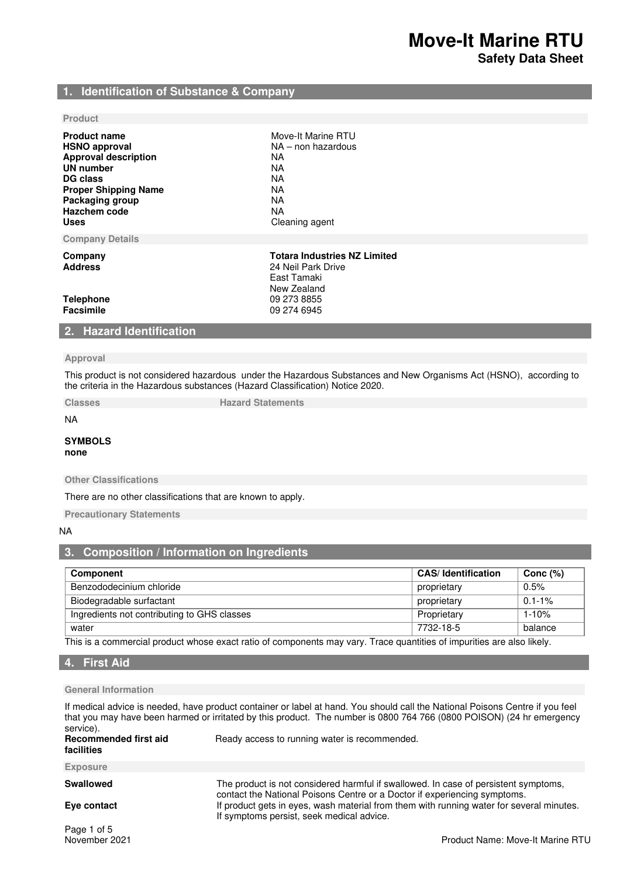# **1. Identification of Substance & Company**

### **Product**

| <b>Product name</b><br><b>HSNO approval</b><br><b>Approval description</b><br>UN number<br>DG class<br><b>Proper Shipping Name</b><br>Packaging group<br>Hazchem code<br><b>Uses</b> | Move-It Marine RTU<br>$NA$ – non hazardous<br>NA.<br>NA.<br>NA.<br>NA.<br>NA.<br>NA.<br>Cleaning agent                |  |
|--------------------------------------------------------------------------------------------------------------------------------------------------------------------------------------|-----------------------------------------------------------------------------------------------------------------------|--|
| <b>Company Details</b>                                                                                                                                                               |                                                                                                                       |  |
| Company<br><b>Address</b><br><b>Telephone</b><br>Facsimile                                                                                                                           | <b>Totara Industries NZ Limited</b><br>24 Neil Park Drive<br>East Tamaki<br>New Zealand<br>09 273 8855<br>09 274 6945 |  |
| 2. Hazard Identification                                                                                                                                                             |                                                                                                                       |  |

### **Approval**

This product is not considered hazardous under the Hazardous Substances and New Organisms Act (HSNO), according to the criteria in the Hazardous substances (Hazard Classification) Notice 2020.

**Classes Classes Hazard Statements** 

NA

### **SYMBOLS none**

**Other Classifications** 

There are no other classifications that are known to apply.

**Precautionary Statements** 

# NA

# **3. Composition / Information on Ingredients**

| <b>Component</b>                            | <b>CAS/Identification</b> | Conc $(%)$  |
|---------------------------------------------|---------------------------|-------------|
| Benzododecinium chloride                    | proprietary               | 0.5%        |
| Biodegradable surfactant                    | proprietary               | $0.1 - 1\%$ |
| Ingredients not contributing to GHS classes | Proprietary               | $1 - 10%$   |
| water                                       | 7732-18-5                 | balance     |

This is a commercial product whose exact ratio of components may vary. Trace quantities of impurities are also likely.

### **4. First Aid**

# **General Information**

If medical advice is needed, have product container or label at hand. You should call the National Poisons Centre if you feel that you may have been harmed or irritated by this product. The number is 0800 764 766 (0800 POISON) (24 hr emergency service).

| Recommended first aid<br>facilities | Ready access to running water is recommended.                                                                                                                    |
|-------------------------------------|------------------------------------------------------------------------------------------------------------------------------------------------------------------|
| <b>Exposure</b>                     |                                                                                                                                                                  |
| <b>Swallowed</b>                    | The product is not considered harmful if swallowed. In case of persistent symptoms,<br>contact the National Poisons Centre or a Doctor if experiencing symptoms. |
| Eye contact                         | If product gets in eyes, wash material from them with running water for several minutes.<br>If symptoms persist, seek medical advice.                            |
|                                     |                                                                                                                                                                  |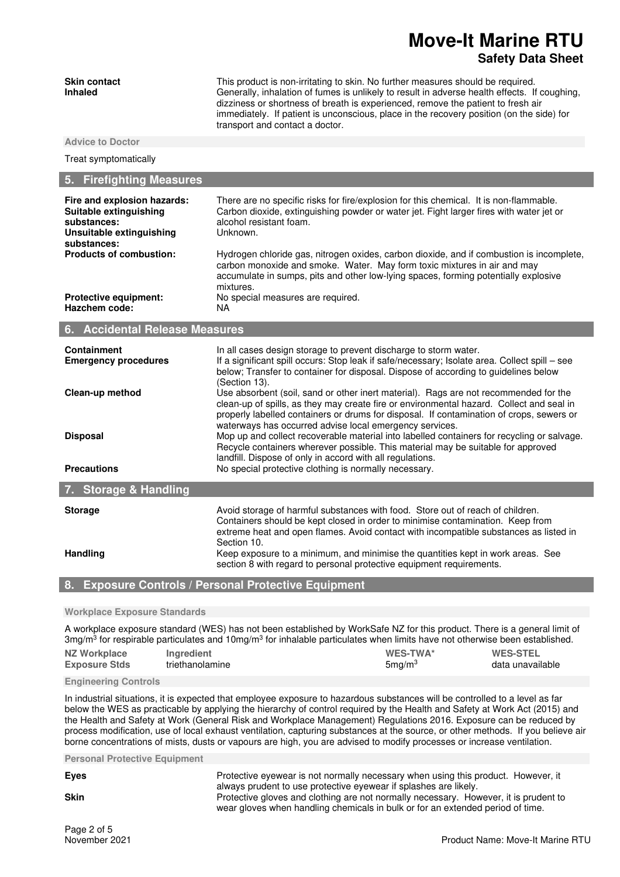# **Move-It Marine RTU Safety Data Sheet**

| <b>Skin contact</b><br><b>Inhaled</b>                                                                           | This product is non-irritating to skin. No further measures should be required.<br>Generally, inhalation of fumes is unlikely to result in adverse health effects. If coughing,<br>dizziness or shortness of breath is experienced, remove the patient to fresh air<br>immediately. If patient is unconscious, place in the recovery position (on the side) for<br>transport and contact a doctor. |
|-----------------------------------------------------------------------------------------------------------------|----------------------------------------------------------------------------------------------------------------------------------------------------------------------------------------------------------------------------------------------------------------------------------------------------------------------------------------------------------------------------------------------------|
| <b>Advice to Doctor</b>                                                                                         |                                                                                                                                                                                                                                                                                                                                                                                                    |
| Treat symptomatically                                                                                           |                                                                                                                                                                                                                                                                                                                                                                                                    |
| 5. Firefighting Measures                                                                                        |                                                                                                                                                                                                                                                                                                                                                                                                    |
| Fire and explosion hazards:<br>Suitable extinguishing<br>substances:<br>Unsuitable extinguishing<br>substances: | There are no specific risks for fire/explosion for this chemical. It is non-flammable.<br>Carbon dioxide, extinguishing powder or water jet. Fight larger fires with water jet or<br>alcohol resistant foam.<br>Unknown.                                                                                                                                                                           |
| <b>Products of combustion:</b>                                                                                  | Hydrogen chloride gas, nitrogen oxides, carbon dioxide, and if combustion is incomplete,<br>carbon monoxide and smoke. Water. May form toxic mixtures in air and may<br>accumulate in sumps, pits and other low-lying spaces, forming potentially explosive<br>mixtures.                                                                                                                           |
| <b>Protective equipment:</b><br>Hazchem code:                                                                   | No special measures are required.<br>NA.                                                                                                                                                                                                                                                                                                                                                           |

|  | 6. | <b>Accidental Release Measures</b> |  |  |
|--|----|------------------------------------|--|--|
|--|----|------------------------------------|--|--|

| <b>Containment</b><br><b>Emergency procedures</b> | In all cases design storage to prevent discharge to storm water.<br>If a significant spill occurs: Stop leak if safe/necessary; Isolate area. Collect spill – see<br>below; Transfer to container for disposal. Dispose of according to guidelines below<br>(Section 13).                                                               |
|---------------------------------------------------|-----------------------------------------------------------------------------------------------------------------------------------------------------------------------------------------------------------------------------------------------------------------------------------------------------------------------------------------|
| Clean-up method                                   | Use absorbent (soil, sand or other inert material). Rags are not recommended for the<br>clean-up of spills, as they may create fire or environmental hazard. Collect and seal in<br>properly labelled containers or drums for disposal. If contamination of crops, sewers or<br>waterways has occurred advise local emergency services. |
| <b>Disposal</b>                                   | Mop up and collect recoverable material into labelled containers for recycling or salvage.<br>Recycle containers wherever possible. This material may be suitable for approved<br>landfill. Dispose of only in accord with all regulations.                                                                                             |
| <b>Precautions</b>                                | No special protective clothing is normally necessary.                                                                                                                                                                                                                                                                                   |
| 7. Storage & Handling                             |                                                                                                                                                                                                                                                                                                                                         |
| <b>Storage</b>                                    | Avoid storage of harmful substances with food. Store out of reach of children.<br>Containers should be kept closed in order to minimise contamination. Keep from<br>extreme heat and open flames. Avoid contact with incompatible substances as listed in<br>Section 10.                                                                |
| <b>Handling</b>                                   | Keep exposure to a minimum, and minimise the quantities kept in work areas. See<br>section 8 with regard to personal protective equipment requirements.                                                                                                                                                                                 |

**8. Exposure Controls / Personal Protective Equipment** 

### **Workplace Exposure Standards**

A workplace exposure standard (WES) has not been established by WorkSafe NZ for this product. There is a general limit of 3mg/m<sup>3</sup> for respirable particulates and 10mg/m<sup>3</sup> for inhalable particulates when limits have not otherwise been established. **NZ Workplace Exposure Stds Ingredient**<br> **Ingredient**<br> **Inglese Sma/m<sup>3</sup><br>
Sma/m<sup>3</sup><br>
data unavailable** triethanolamine

### **Engineering Controls**

In industrial situations, it is expected that employee exposure to hazardous substances will be controlled to a level as far below the WES as practicable by applying the hierarchy of control required by the Health and Safety at Work Act (2015) and the Health and Safety at Work (General Risk and Workplace Management) Regulations 2016. Exposure can be reduced by process modification, use of local exhaust ventilation, capturing substances at the source, or other methods. If you believe air borne concentrations of mists, dusts or vapours are high, you are advised to modify processes or increase ventilation.

**Personal Protective Equipment** 

**Eyes** Protective eyewear is not normally necessary when using this product. However, it always prudent to use protective eyewear if splashes are likely.

**Skin Protective gloves and clothing are not normally necessary. However, it is prudent to sell and protective gloves and clothing are not normally necessary. However, it is prudent to** wear gloves when handling chemicals in bulk or for an extended period of time.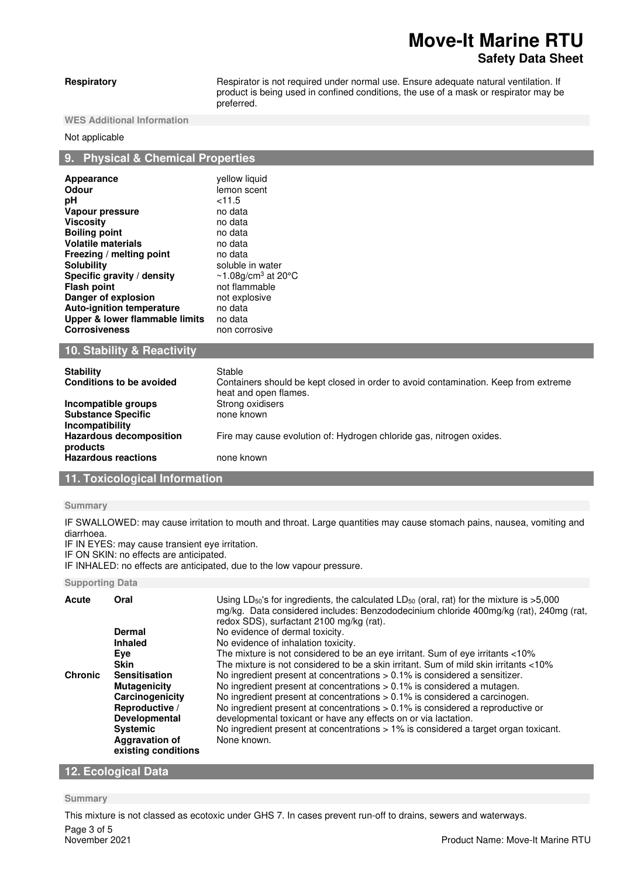# **Move-It Marine RTU Safety Data Sheet**

**Respiratory Respirator is not required under normal use. Ensure adequate natural ventilation. If** product is being used in confined conditions, the use of a mask or respirator may be preferred.

**WES Additional Information** 

### Not applicable

# **9. Physical & Chemical Properties**

| Appearance                       | yellow liquid                                   |
|----------------------------------|-------------------------------------------------|
| Odour                            | lemon scent                                     |
| рH                               | $<$ 11.5                                        |
| Vapour pressure                  | no data                                         |
| <b>Viscosity</b>                 | no data                                         |
| <b>Boiling point</b>             | no data                                         |
| <b>Volatile materials</b>        | no data                                         |
| Freezing / melting point         | no data                                         |
| <b>Solubility</b>                | soluble in water                                |
| Specific gravity / density       | $\sim$ 1.08g/cm <sup>3</sup> at 20 $^{\circ}$ C |
| <b>Flash point</b>               | not flammable                                   |
| Danger of explosion              | not explosive                                   |
| <b>Auto-ignition temperature</b> | no data                                         |
| Upper & lower flammable limits   | no data                                         |
| <b>Corrosiveness</b>             | non corrosive                                   |
| ___                              |                                                 |

# **10. Stability & Reactivity**

| <b>Stability</b><br>Conditions to be avoided                        | Stable<br>Containers should be kept closed in order to avoid contamination. Keep from extreme<br>heat and open flames. |
|---------------------------------------------------------------------|------------------------------------------------------------------------------------------------------------------------|
| Incompatible groups<br><b>Substance Specific</b><br>Incompatibility | Strong oxidisers<br>none known                                                                                         |
| <b>Hazardous decomposition</b><br>products                          | Fire may cause evolution of: Hydrogen chloride gas, nitrogen oxides.                                                   |
| <b>Hazardous reactions</b>                                          | none known                                                                                                             |

# **11. Toxicological Information**

## **Summary**

IF SWALLOWED: may cause irritation to mouth and throat. Large quantities may cause stomach pains, nausea, vomiting and diarrhoea.

IF IN EYES: may cause transient eye irritation.

IF ON SKIN: no effects are anticipated.

IF INHALED: no effects are anticipated, due to the low vapour pressure.

### **Supporting Data**

| Acute          | Oral                                         | Using LD <sub>50</sub> 's for ingredients, the calculated LD <sub>50</sub> (oral, rat) for the mixture is $>5,000$<br>mg/kg. Data considered includes: Benzododecinium chloride 400mg/kg (rat), 240mg (rat,<br>redox SDS), surfactant 2100 mg/kg (rat). |
|----------------|----------------------------------------------|---------------------------------------------------------------------------------------------------------------------------------------------------------------------------------------------------------------------------------------------------------|
|                | <b>Dermal</b>                                | No evidence of dermal toxicity.                                                                                                                                                                                                                         |
|                | <b>Inhaled</b>                               | No evidence of inhalation toxicity.                                                                                                                                                                                                                     |
|                | Eye                                          | The mixture is not considered to be an eye irritant. Sum of eye irritants <10%                                                                                                                                                                          |
|                | <b>Skin</b>                                  | The mixture is not considered to be a skin irritant. Sum of mild skin irritants <10%                                                                                                                                                                    |
| <b>Chronic</b> | <b>Sensitisation</b>                         | No ingredient present at concentrations $> 0.1\%$ is considered a sensitizer.                                                                                                                                                                           |
|                | <b>Mutagenicity</b>                          | No ingredient present at concentrations $> 0.1\%$ is considered a mutagen.                                                                                                                                                                              |
|                | Carcinogenicity                              | No ingredient present at concentrations $> 0.1\%$ is considered a carcinogen.                                                                                                                                                                           |
|                | Reproductive /<br><b>Developmental</b>       | No ingredient present at concentrations $> 0.1\%$ is considered a reproductive or<br>developmental toxicant or have any effects on or via lactation.                                                                                                    |
|                | <b>Systemic</b>                              | No ingredient present at concentrations $> 1\%$ is considered a target organ toxicant.                                                                                                                                                                  |
|                | <b>Aggravation of</b><br>existing conditions | None known.                                                                                                                                                                                                                                             |

# **12. Ecological Data**

### **Summary**

Page 3 of 5<br>November 2021 This mixture is not classed as ecotoxic under GHS 7. In cases prevent run-off to drains, sewers and waterways.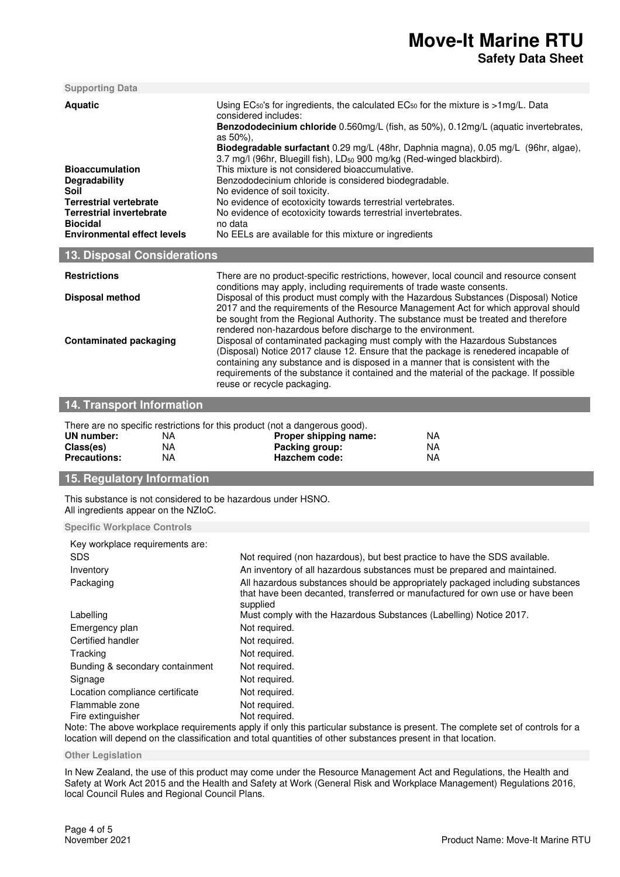| <b>Supporting Data</b>                                                                                                                                                                         |                                                                                                                                                                                                                                                                                                                                                                                                                                                                                                                                                                                                                                                                                                                                                      |  |  |
|------------------------------------------------------------------------------------------------------------------------------------------------------------------------------------------------|------------------------------------------------------------------------------------------------------------------------------------------------------------------------------------------------------------------------------------------------------------------------------------------------------------------------------------------------------------------------------------------------------------------------------------------------------------------------------------------------------------------------------------------------------------------------------------------------------------------------------------------------------------------------------------------------------------------------------------------------------|--|--|
| <b>Aquatic</b><br><b>Bioaccumulation</b><br>Degradability<br>Soil<br><b>Terrestrial vertebrate</b><br><b>Terrestrial invertebrate</b><br><b>Biocidal</b><br><b>Environmental effect levels</b> | Using $EC_{50}$ 's for ingredients, the calculated $EC_{50}$ for the mixture is >1mg/L. Data<br>considered includes:<br>Benzododecinium chloride 0.560mg/L (fish, as 50%), 0.12mg/L (aquatic invertebrates,<br>as 50%),<br>Biodegradable surfactant 0.29 mg/L (48hr, Daphnia magna), 0.05 mg/L (96hr, algae),<br>3.7 mg/l (96hr, Bluegill fish), LD <sub>50</sub> 900 mg/kg (Red-winged blackbird).<br>This mixture is not considered bioaccumulative.<br>Benzododecinium chloride is considered biodegradable.<br>No evidence of soil toxicity.<br>No evidence of ecotoxicity towards terrestrial vertebrates.<br>No evidence of ecotoxicity towards terrestrial invertebrates.<br>no data<br>No EELs are available for this mixture or ingredients |  |  |
| <b>13. Disposal Considerations</b>                                                                                                                                                             |                                                                                                                                                                                                                                                                                                                                                                                                                                                                                                                                                                                                                                                                                                                                                      |  |  |
| <b>Restrictions</b>                                                                                                                                                                            | There are no product-specific restrictions, however, local council and resource consent                                                                                                                                                                                                                                                                                                                                                                                                                                                                                                                                                                                                                                                              |  |  |
| Disposal method                                                                                                                                                                                | conditions may apply, including requirements of trade waste consents.<br>Disposal of this product must comply with the Hazardous Substances (Disposal) Notice<br>2017 and the requirements of the Resource Management Act for which approval should<br>be sought from the Regional Authority. The substance must be treated and therefore<br>rendered non-hazardous before discharge to the environment.                                                                                                                                                                                                                                                                                                                                             |  |  |
| <b>Contaminated packaging</b>                                                                                                                                                                  | Disposal of contaminated packaging must comply with the Hazardous Substances<br>(Disposal) Notice 2017 clause 12. Ensure that the package is renedered incapable of<br>containing any substance and is disposed in a manner that is consistent with the<br>requirements of the substance it contained and the material of the package. If possible<br>reuse or recycle packaging.                                                                                                                                                                                                                                                                                                                                                                    |  |  |
| <b>14. Transport Information</b>                                                                                                                                                               |                                                                                                                                                                                                                                                                                                                                                                                                                                                                                                                                                                                                                                                                                                                                                      |  |  |
| <b>UN</b> number:<br>NA.<br><b>NA</b><br>Class(es)<br><b>Precautions:</b><br>NA.                                                                                                               | There are no specific restrictions for this product (not a dangerous good).<br>Proper shipping name:<br><b>NA</b><br>Packing group:<br><b>NA</b><br>Hazchem code:<br><b>NA</b>                                                                                                                                                                                                                                                                                                                                                                                                                                                                                                                                                                       |  |  |
| 15. Regulatory Information                                                                                                                                                                     |                                                                                                                                                                                                                                                                                                                                                                                                                                                                                                                                                                                                                                                                                                                                                      |  |  |
| This substance is not considered to be hazardous under HSNO.<br>All ingredients appear on the NZIoC.                                                                                           |                                                                                                                                                                                                                                                                                                                                                                                                                                                                                                                                                                                                                                                                                                                                                      |  |  |
| <b>Specific Workplace Controls</b>                                                                                                                                                             |                                                                                                                                                                                                                                                                                                                                                                                                                                                                                                                                                                                                                                                                                                                                                      |  |  |
| Key workplace requirements are:<br><b>SDS</b><br>Inventory<br>Packaging                                                                                                                        | Not required (non hazardous), but best practice to have the SDS available.<br>An inventory of all hazardous substances must be prepared and maintained.<br>All hazardous substances should be appropriately packaged including substances<br>that have been decanted, transferred or manufactured for own use or have been<br>supplied                                                                                                                                                                                                                                                                                                                                                                                                               |  |  |
| Labelling<br>Emergency plan<br>Certified handler<br>Tracking                                                                                                                                   | Must comply with the Hazardous Substances (Labelling) Notice 2017.<br>Not required.<br>Not required.<br>Not required.                                                                                                                                                                                                                                                                                                                                                                                                                                                                                                                                                                                                                                |  |  |

Bunding & secondary containment Not required. Signage Not required. Location compliance certificate Mot required. Flammable zone Not required.<br>
Fire extinguisher Not required. Fire extinguisher

Note: The above workplace requirements apply if only this particular substance is present. The complete set of controls for a location will depend on the classification and total quantities of other substances present in that location.

**Other Legislation** 

In New Zealand, the use of this product may come under the Resource Management Act and Regulations, the Health and Safety at Work Act 2015 and the Health and Safety at Work (General Risk and Workplace Management) Regulations 2016, local Council Rules and Regional Council Plans.